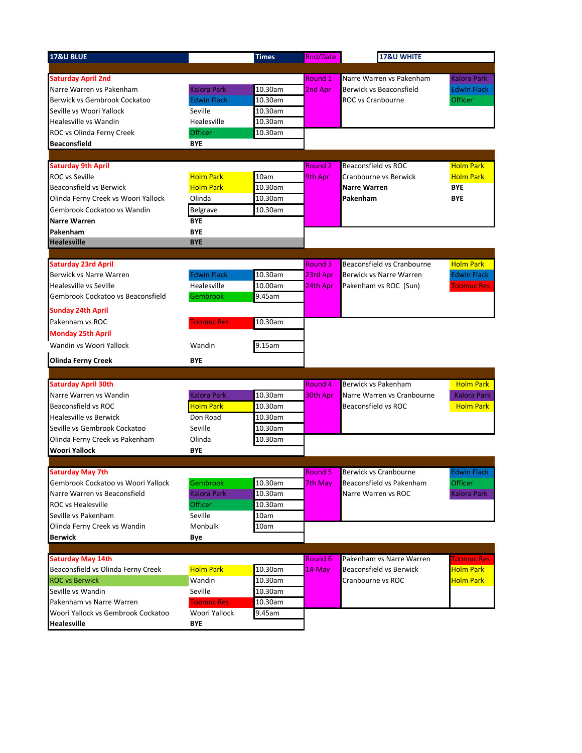| 17&U BLUE                           |                    | <b>Times</b> | <b>Rnd/Date</b>    | <b>17&amp;U WHITE</b>          |                    |
|-------------------------------------|--------------------|--------------|--------------------|--------------------------------|--------------------|
|                                     |                    |              |                    |                                |                    |
| <b>Saturday April 2nd</b>           |                    |              | Round 1            | Narre Warren vs Pakenham       | <b>Kalora Park</b> |
| Narre Warren vs Pakenham            | <b>Kalora Park</b> | 10.30am      | 2nd Apr            | Berwick vs Beaconsfield        | <b>Edwin Flack</b> |
| Berwick vs Gembrook Cockatoo        | <b>Edwin Flack</b> | 10.30am      |                    | ROC vs Cranbourne              | Officer            |
| Seville vs Woori Yallock            | Seville            | 10.30am      |                    |                                |                    |
| Healesville vs Wandin               | Healesville        | 10.30am      |                    |                                |                    |
| ROC vs Olinda Ferny Creek           | Officer            | 10.30am      |                    |                                |                    |
| <b>Beaconsfield</b>                 | BYE                |              |                    |                                |                    |
|                                     |                    |              |                    |                                |                    |
| <b>Saturday 9th April</b>           |                    |              | Round <sub>2</sub> | <b>Beaconsfield vs ROC</b>     | <b>Holm Park</b>   |
| <b>ROC</b> vs Seville               | <b>Holm Park</b>   | 10am         | 9th Apr            | Cranbourne vs Berwick          | <b>Holm Park</b>   |
| Beaconsfield vs Berwick             | <b>Holm Park</b>   | 10.30am      |                    | Narre Warren                   | <b>BYE</b>         |
| Olinda Ferny Creek vs Woori Yallock | Olinda             | 10.30am      |                    | Pakenham                       | <b>BYE</b>         |
| Gembrook Cockatoo vs Wandin         | <b>Belgrave</b>    | 10.30am      |                    |                                |                    |
| <b>Narre Warren</b>                 | <b>BYE</b>         |              |                    |                                |                    |
| Pakenham                            | <b>BYE</b>         |              |                    |                                |                    |
| <b>Healesville</b>                  | <b>BYE</b>         |              |                    |                                |                    |
|                                     |                    |              |                    |                                |                    |
| <b>Saturday 23rd April</b>          |                    |              | Round 3            | Beaconsfield vs Cranbourne     | <b>Holm Park</b>   |
| Berwick vs Narre Warren             | <b>Edwin Flack</b> | 10.30am      | 23rd Apr           | <b>Berwick vs Narre Warren</b> | <b>Edwin Flack</b> |
| <b>Healesville vs Seville</b>       | Healesville        | 10.00am      | 24th Apr           | Pakenham vs ROC (Sun)          | <b>Toomuc Res</b>  |
| Gembrook Cockatoo vs Beaconsfield   | Gembrook           | 9.45am       |                    |                                |                    |
| <b>Sunday 24th April</b>            |                    |              |                    |                                |                    |
| Pakenham vs ROC                     | <b>Toomuc Res</b>  | 10.30am      |                    |                                |                    |
| <b>Monday 25th April</b>            |                    |              |                    |                                |                    |
| Wandin vs Woori Yallock             | Wandin             | 9.15am       |                    |                                |                    |
| <b>Olinda Ferny Creek</b>           | <b>BYE</b>         |              |                    |                                |                    |
|                                     |                    |              |                    |                                |                    |
| <b>Saturday April 30th</b>          |                    |              | Round 4            | Berwick vs Pakenham            | <b>Holm Park</b>   |
| Narre Warren vs Wandin              | Kalora Park        | 10.30am      | 30th Apr           | Narre Warren vs Cranbourne     | <b>Kalora Park</b> |
| Beaconsfield vs ROC                 | <b>Holm Park</b>   | 10.30am      |                    | Beaconsfield vs ROC            | <b>Holm Park</b>   |
| <b>Healesville vs Berwick</b>       | Don Road           | 10.30am      |                    |                                |                    |
| Seville vs Gembrook Cockatoo        | Seville            | 10.30am      |                    |                                |                    |
| Olinda Ferny Creek vs Pakenham      | Olinda             | 10.30am      |                    |                                |                    |
| <b>Woori Yallock</b>                | <b>BYE</b>         |              |                    |                                |                    |
|                                     |                    |              |                    |                                |                    |
| <b>Saturday May 7th</b>             |                    |              | <b>Round 5</b>     | Berwick vs Cranbourne          | <b>Edwin Flack</b> |
| Gembrook Cockatoo vs Woori Yallock  | Gembrook           | 10.30am      | 7th May            | Beaconsfield vs Pakenham       | <b>Officer</b>     |
| Narre Warren vs Beaconsfield        | <b>Kalora Park</b> | 10.30am      |                    | Narre Warren vs ROC            | Kalora Park        |
| <b>ROC vs Healesville</b>           | Officer            | 10.30am      |                    |                                |                    |
| Seville vs Pakenham                 | Seville            | 10am         |                    |                                |                    |
| Olinda Ferny Creek vs Wandin        | Monbulk            | 10am         |                    |                                |                    |
| <b>Berwick</b>                      | Bye                |              |                    |                                |                    |
|                                     |                    |              |                    |                                |                    |
| <b>Saturday May 14th</b>            |                    |              | Round <sub>6</sub> | Pakenham vs Narre Warren       | <b>Toomuc Res</b>  |
| Beaconsfield vs Olinda Ferny Creek  | <b>Holm Park</b>   | 10.30am      | $14$ -May          | Beaconsfield vs Berwick        | <b>Holm Park</b>   |
| <b>ROC vs Berwick</b>               | Wandin             | 10.30am      |                    | Cranbourne vs ROC              | <b>Holm Park</b>   |
| Seville vs Wandin                   | Seville            | 10.30am      |                    |                                |                    |
| Pakenham vs Narre Warren            | <b>Toomuc Res</b>  | 10.30am      |                    |                                |                    |
| Woori Yallock vs Gembrook Cockatoo  | Woori Yallock      | 9.45am       |                    |                                |                    |
| <b>Healesville</b>                  | <b>BYE</b>         |              |                    |                                |                    |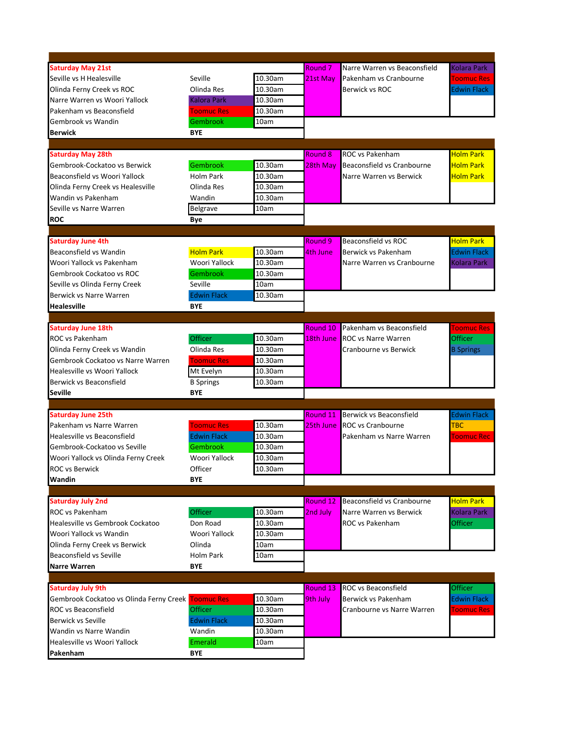| <b>Saturday May 21st</b>                  |                                     |         | Round <sub>7</sub> | Narre Warren vs Beaconsfield | <b>Kolara Park</b> |
|-------------------------------------------|-------------------------------------|---------|--------------------|------------------------------|--------------------|
| Seville vs H Healesville                  | Seville                             | 10.30am | 21st May           | Pakenham vs Cranbourne       | <b>Toomuc Res</b>  |
| Olinda Ferny Creek vs ROC                 | Olinda Res                          | 10.30am |                    | Berwick vs ROC               | <b>Edwin Flack</b> |
| Narre Warren vs Woori Yallock             | Kalora Park                         | 10.30am |                    |                              |                    |
| Pakenham vs Beaconsfield                  | <b>Toomuc Res</b>                   | 10.30am |                    |                              |                    |
| Gembrook vs Wandin                        | Gembrook                            | 10am    |                    |                              |                    |
| <b>Berwick</b>                            | <b>BYE</b>                          |         |                    |                              |                    |
|                                           |                                     |         |                    |                              |                    |
| <b>Saturday May 28th</b>                  |                                     |         | Round 8            | ROC vs Pakenham              | <b>Holm Park</b>   |
| Gembrook-Cockatoo vs Berwick              | Gembrook                            | 10.30am | 28th May           | Beaconsfield vs Cranbourne   | <b>Holm Park</b>   |
| Beaconsfield vs Woori Yallock             | Holm Park                           | 10.30am |                    | Narre Warren vs Berwick      | <b>Holm Park</b>   |
| Olinda Ferny Creek vs Healesville         | Olinda Res                          | 10.30am |                    |                              |                    |
| Wandin vs Pakenham                        | Wandin                              | 10.30am |                    |                              |                    |
| Seville vs Narre Warren                   | Belgrave                            | 10am    |                    |                              |                    |
| <b>ROC</b>                                | Bye                                 |         |                    |                              |                    |
|                                           |                                     |         |                    |                              |                    |
| <b>Saturday June 4th</b>                  |                                     |         | Round 9            | <b>Beaconsfield vs ROC</b>   | <b>Holm Park</b>   |
| Beaconsfield vs Wandin                    | <b>Holm Park</b>                    | 10.30am | 4th June           | Berwick vs Pakenham          | <b>Edwin Flack</b> |
| Woori Yallock vs Pakenham                 | Woori Yallock                       | 10.30am |                    | Narre Warren vs Cranbourne   | <b>Kolara Park</b> |
| Gembrook Cockatoo vs ROC                  | Gembrook                            | 10.30am |                    |                              |                    |
| Seville vs Olinda Ferny Creek             | Seville                             | 10am    |                    |                              |                    |
| <b>Berwick vs Narre Warren</b>            | <b>Edwin Flack</b>                  | 10.30am |                    |                              |                    |
| <b>Healesville</b>                        | <b>BYE</b>                          |         |                    |                              |                    |
|                                           |                                     |         |                    |                              |                    |
| <b>Saturday June 18th</b>                 |                                     |         | Round 10           | Pakenham vs Beaconsfield     | <b>Toomuc Res</b>  |
| ROC vs Pakenham                           | Officer                             | 10.30am | 18th June          | ROC vs Narre Warren          | Officer            |
| Olinda Ferny Creek vs Wandin              | Olinda Res                          | 10.30am |                    | Cranbourne vs Berwick        |                    |
| Gembrook Cockatoo vs Narre Warren         |                                     | 10.30am |                    |                              | <b>B</b> Springs   |
|                                           | <b>Toomuc Res</b>                   |         |                    |                              |                    |
| Healesville vs Woori Yallock              | Mt Evelyn                           | 10.30am |                    |                              |                    |
| Berwick vs Beaconsfield<br><b>Seville</b> | <b>B</b> Springs<br><b>BYE</b>      | 10.30am |                    |                              |                    |
|                                           |                                     |         |                    |                              |                    |
| <b>Saturday June 25th</b>                 |                                     |         | Round 11           | Berwick vs Beaconsfield      | <b>Edwin Flack</b> |
| Pakenham vs Narre Warren                  | <b>Toomuc Res</b>                   | 10.30am | 25th June          | <b>ROC</b> vs Cranbourne     | <b>TBC</b>         |
| Healesville vs Beaconsfield               | <b>Edwin Flack</b>                  | 10.30am |                    | Pakenham vs Narre Warren     | <b>Toomuc Rec</b>  |
| Gembrook-Cockatoo vs Seville              | Gembrook                            | 10.30am |                    |                              |                    |
|                                           | Woori Yallock                       |         |                    |                              |                    |
| Woori Yallock vs Olinda Ferny Creek       | Officer                             | 10.30am |                    |                              |                    |
| <b>ROC vs Berwick</b>                     |                                     | 10.30am |                    |                              |                    |
| Wandin                                    | <b>BYE</b>                          |         |                    |                              |                    |
|                                           |                                     |         | Round 12           |                              | <b>Holm Park</b>   |
| <b>Saturday July 2nd</b>                  |                                     | 10.30am | 2nd July           | Beaconsfield vs Cranbourne   | <b>Kolara Park</b> |
| ROC vs Pakenham                           | Officer                             |         |                    | Narre Warren vs Berwick      |                    |
| Healesville vs Gembrook Cockatoo          | Don Road                            | 10.30am |                    | <b>ROC vs Pakenham</b>       | <b>Officer</b>     |
| Woori Yallock vs Wandin                   | Woori Yallock                       | 10.30am |                    |                              |                    |
| Olinda Ferny Creek vs Berwick             | Olinda                              | 10am    |                    |                              |                    |
| Beaconsfield vs Seville                   | <b>Holm Park</b>                    | 10am    |                    |                              |                    |
| <b>Narre Warren</b>                       | <b>BYE</b>                          |         |                    |                              |                    |
|                                           |                                     |         | Round 13           | <b>ROC vs Beaconsfield</b>   | Officer            |
| <b>Saturday July 9th</b>                  |                                     | 10.30am |                    | Berwick vs Pakenham          | <b>Edwin Flack</b> |
| Gembrook Cockatoo vs Olinda Ferny Creek   | <b>Toomuc Res</b><br><b>Officer</b> |         | 9th July           |                              |                    |
| ROC vs Beaconsfield                       |                                     | 10.30am |                    | Cranbourne vs Narre Warren   | <b>Toomuc Res</b>  |
| <b>Berwick vs Seville</b>                 | <b>Edwin Flack</b>                  | 10.30am |                    |                              |                    |
| Wandin vs Narre Wandin                    | Wandin                              | 10.30am |                    |                              |                    |
| Healesville vs Woori Yallock              | Emerald                             | 10am    |                    |                              |                    |
| Pakenham                                  | <b>BYE</b>                          |         |                    |                              |                    |